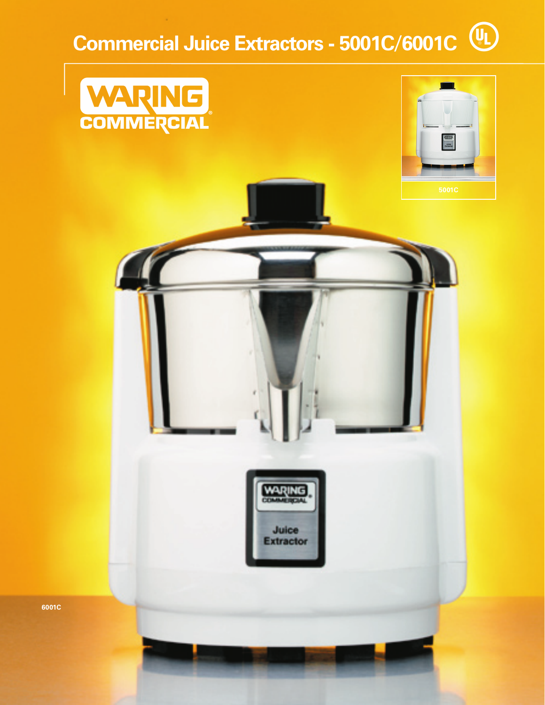## **Commercial Juice Extractors - 5001C/6001C**



**6001C**